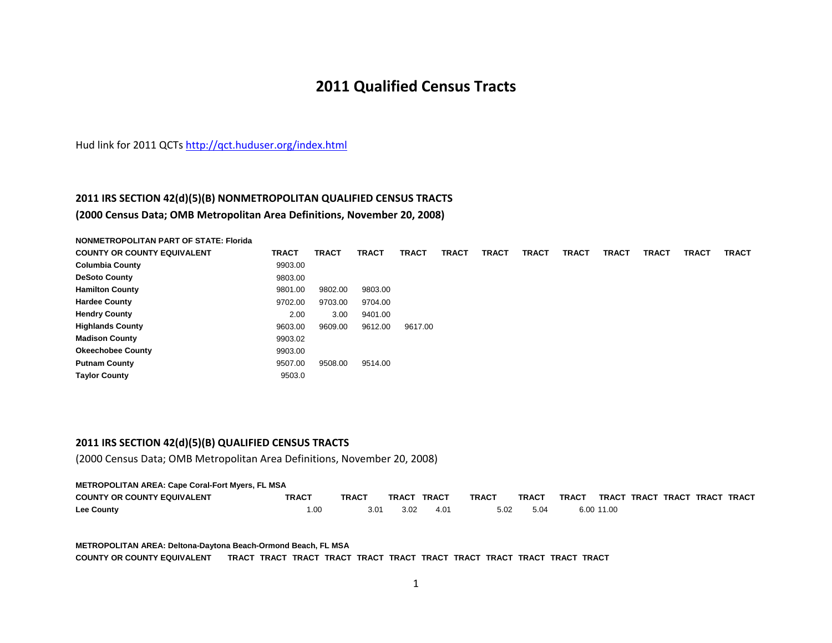# **2011 Qualified Census Tracts**

Hud link for 2011 QCTs <u>http://qct.huduser.org/index.html</u>

# **2011 IRS SECTION 42(d)(5)(B) NONMETROPOLITAN QUALIFIED CENSUS TRACTS (2000 Census Data; OMB Metropolitan Area Definitions, November 20, 2008)**

**NONMETROPOLITAN PART OF STATE: Florida COUNTY OR COUNTY EQUIVALENT TRACT TRACT TRACT TRACT TRACT TRACT TRACT TRACT TRACT TRACT TRACT TRACT Columbia County** 9903.00

| 9803.00 |         |         |         |
|---------|---------|---------|---------|
| 9801.00 | 9802.00 | 9803.00 |         |
| 9702.00 | 9703.00 | 9704.00 |         |
| 2.00    | 3.00    | 9401.00 |         |
| 9603.00 | 9609.00 | 9612.00 | 9617.00 |
| 9903.02 |         |         |         |
| 9903.00 |         |         |         |
| 9507.00 | 9508.00 | 9514.00 |         |
| 9503.0  |         |         |         |
|         | 9903.UU |         |         |

# **2011 IRS SECTION 42(d)(5)(B) QUALIFIED CENSUS TRACTS**

(2000 Census Data; OMB Metropolitan Area Definitions, November 20, 2008)

#### **METROPOLITAN AREA: Cape Coral-Fort Myers, FL MSA**

| <b>COUNTY OR COUNTY EQUIVALENT</b> | TRACT | TRACT | TRACT | TRACT         | <b>TRACT</b> | <b>TRACT</b> | <b>TRACT</b> | <b>TRACT</b> | <b>TRACT TRACT</b> | <b>TRACT TRACT</b> |  |
|------------------------------------|-------|-------|-------|---------------|--------------|--------------|--------------|--------------|--------------------|--------------------|--|
| <b>Lee County</b>                  | .00   | 3.01  | 3.02  | $4.0^{\circ}$ | 5.02         | 5.04         |              | 6.00 11.00   |                    |                    |  |

#### **METROPOLITAN AREA: Deltona-Daytona Beach-Ormond Beach, FL MSA**

**COUNTY OR COUNTY EQUIVALENT TRACT TRACT TRACT TRACT TRACT TRACT TRACT TRACT TRACT TRACT TRACT TRACT**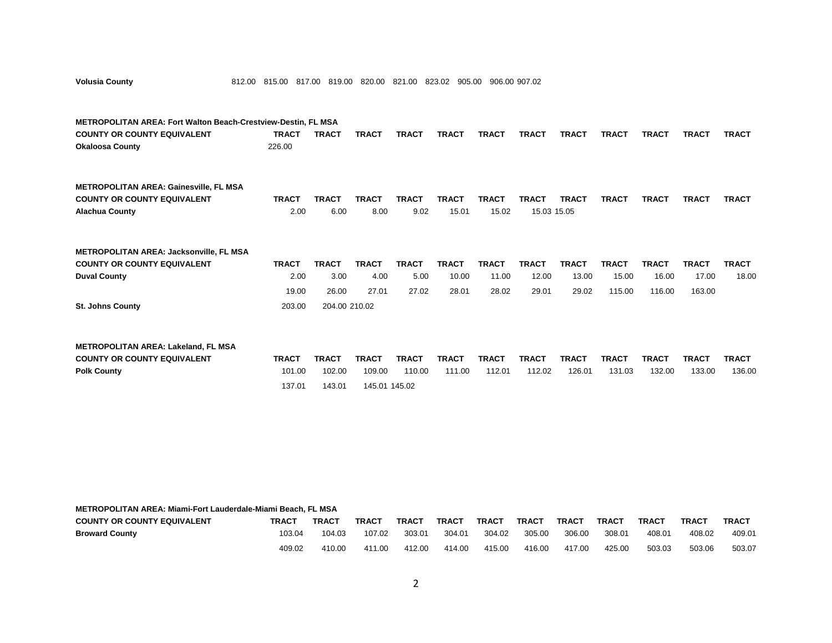| <b>Volusia County</b>                                                |  |  |  |  | 812.00 815.00 817.00 819.00 820.00 821.00 823.02 905.00 906.00 907.02 |
|----------------------------------------------------------------------|--|--|--|--|-----------------------------------------------------------------------|
|                                                                      |  |  |  |  |                                                                       |
|                                                                      |  |  |  |  |                                                                       |
| <b>METROPOLITAN AREA: Fort Walton Beach-Crestview-Destin, FL MSA</b> |  |  |  |  |                                                                       |

| <b>COUNTY OR COUNTY EQUIVALENT</b> | <b>TRACT</b> | TRACT | <b>TRACT</b> | <b>TRACT</b> | <b>TRACT</b> | <b>TRACT</b> | <b>TRACT</b> | <b>TRACT</b> | <b>TRACT</b> | <b>TRACT</b> | <b>TRACT</b> | TRACT |
|------------------------------------|--------------|-------|--------------|--------------|--------------|--------------|--------------|--------------|--------------|--------------|--------------|-------|
| <b>Okaloosa County</b>             | 226.00       |       |              |              |              |              |              |              |              |              |              |       |

| <b>METROPOLITAN AREA: Gainesville, FL MSA</b> |              |                   |              |              |       |              |              |              |              |              |              |              |
|-----------------------------------------------|--------------|-------------------|--------------|--------------|-------|--------------|--------------|--------------|--------------|--------------|--------------|--------------|
| <b>COUNTY OR COUNTY EQUIVALENT</b>            | <b>TRACT</b> | TRAC <sup>-</sup> | <b>TRACT</b> | <b>TRACT</b> | TRACT | <b>TRACT</b> | <b>TRAC1</b> | <b>TRACT</b> | <b>TRACT</b> | <b>TRACT</b> | <b>TRACT</b> | <b>TRACT</b> |
| <b>Alachua County</b>                         | 2.00         | 6.00              | 8.00         | 9.02         | 15.01 | 15.02        | 15.03 15.05  |              |              |              |              |              |

# **METROPOLITAN AREA: Jacksonville, FL MSA**

| <b>COUNTY OR COUNTY EQUIVALENT</b> | <b>TRACT</b> | <b>TRACT</b>  | <b>TRACT</b> | <b>TRACT</b> | <b>TRACT</b> | TRACT | <b>TRACT</b> | <b>TRACT</b> | <b>TRACT</b> | TRACT  | <b>TRACT</b> | <b>TRACT</b> |
|------------------------------------|--------------|---------------|--------------|--------------|--------------|-------|--------------|--------------|--------------|--------|--------------|--------------|
| <b>Duval County</b>                | 2.00         | 3.00          | 4.00         | 5.00         | 10.00        | 11.00 | 12.00        | 13.00        | 15.00        | 16.00  | 17.00        | 18.00        |
|                                    | 19.00        | 26.00         | 27.01        | 27.02        | 28.01        | 28.02 | 29.01        | 29.02        | 115.00       | 116.00 | 163.00       |              |
| <b>St. Johns County</b>            | 203.00       | 204.00 210.02 |              |              |              |       |              |              |              |        |              |              |

| <b>METROPOLITAN AREA: Lakeland, FL MSA</b> |              |              |               |              |              |        |              |              |              |              |              |              |
|--------------------------------------------|--------------|--------------|---------------|--------------|--------------|--------|--------------|--------------|--------------|--------------|--------------|--------------|
| <b>COUNTY OR COUNTY EQUIVALENT</b>         | <b>TRACT</b> | <b>TRACT</b> | <b>TRACT</b>  | <b>TRACT</b> | <b>TRACT</b> | TRACT  | <b>TRACT</b> | <b>TRACT</b> | <b>TRACT</b> | <b>TRACT</b> | <b>TRACT</b> | <b>TRACT</b> |
| <b>Polk County</b>                         | 101.00       | 102.00       | 109.00        | 110.00       | 111.00       | 112.01 | 112.02       | 126.01       | 131.03       | 132.00       | 133.00       | 136.00       |
|                                            | 137.01       | 143.01       | 145.01 145.02 |              |              |        |              |              |              |              |              |              |

## **METROPOLITAN AREA: Miami-Fort Lauderdale-Miami Beach, FL MSA**

| <b>COUNTY OR COUNTY EQUIVALENT</b> | <b>TRACT</b> | <b>TRACT</b> | <b>TRACT</b> | <b>TRACT</b> | <b>TRACT</b> | <b>TRACT</b> | <b>TRACT</b> | <b>TRACT</b> | <b>TRACT</b> | <b>TRACT</b> | <b>TRACT</b> | <b>TRACT</b> |
|------------------------------------|--------------|--------------|--------------|--------------|--------------|--------------|--------------|--------------|--------------|--------------|--------------|--------------|
| <b>Broward County</b>              | 103.04       | 104.03       | 107.02       | 303.01       | 304.01       | 304.02       | 305.00       | 306.00       | 308.01       | 408.01       | 408.02       | 409.01       |
|                                    | 409.02       |              | 411.00       | 412.00       | 414.00       | 415.00       | 416.00       | 417.00       | 425.00       | 503.03       | 503.06       | 503.07       |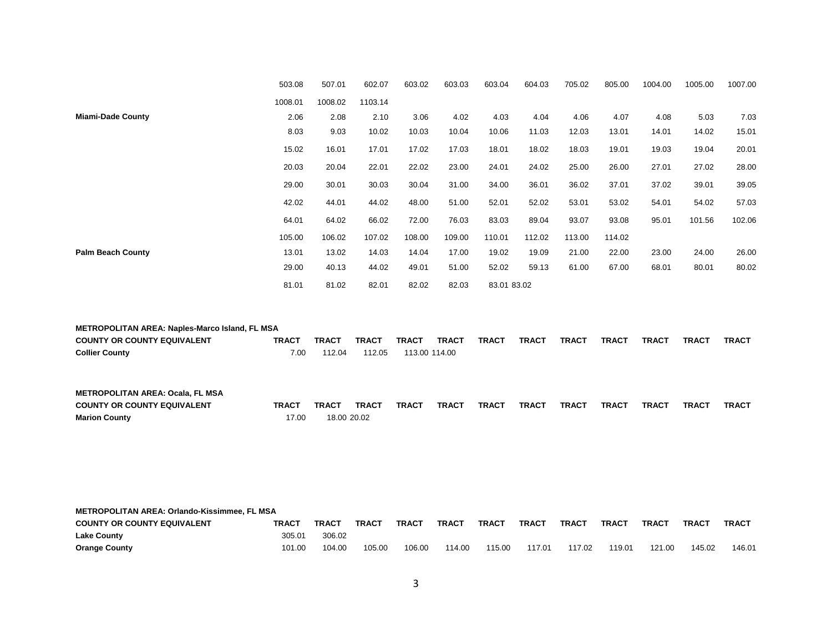|                          | 503.08  | 507.01  | 602.07  | 603.02 | 603.03 | 603.04      | 604.03 | 705.02 | 805.00 | 1004.00 | 1005.00 | 1007.00 |
|--------------------------|---------|---------|---------|--------|--------|-------------|--------|--------|--------|---------|---------|---------|
|                          | 1008.01 | 1008.02 | 1103.14 |        |        |             |        |        |        |         |         |         |
| <b>Miami-Dade County</b> | 2.06    | 2.08    | 2.10    | 3.06   | 4.02   | 4.03        | 4.04   | 4.06   | 4.07   | 4.08    | 5.03    | 7.03    |
|                          | 8.03    | 9.03    | 10.02   | 10.03  | 10.04  | 10.06       | 11.03  | 12.03  | 13.01  | 14.01   | 14.02   | 15.01   |
|                          | 15.02   | 16.01   | 17.01   | 17.02  | 17.03  | 18.01       | 18.02  | 18.03  | 19.01  | 19.03   | 19.04   | 20.01   |
|                          | 20.03   | 20.04   | 22.01   | 22.02  | 23.00  | 24.01       | 24.02  | 25.00  | 26.00  | 27.01   | 27.02   | 28.00   |
|                          | 29.00   | 30.01   | 30.03   | 30.04  | 31.00  | 34.00       | 36.01  | 36.02  | 37.01  | 37.02   | 39.01   | 39.05   |
|                          | 42.02   | 44.01   | 44.02   | 48.00  | 51.00  | 52.01       | 52.02  | 53.01  | 53.02  | 54.01   | 54.02   | 57.03   |
|                          | 64.01   | 64.02   | 66.02   | 72.00  | 76.03  | 83.03       | 89.04  | 93.07  | 93.08  | 95.01   | 101.56  | 102.06  |
|                          | 105.00  | 106.02  | 107.02  | 108.00 | 109.00 | 110.01      | 112.02 | 113.00 | 114.02 |         |         |         |
| <b>Palm Beach County</b> | 13.01   | 13.02   | 14.03   | 14.04  | 17.00  | 19.02       | 19.09  | 21.00  | 22.00  | 23.00   | 24.00   | 26.00   |
|                          | 29.00   | 40.13   | 44.02   | 49.01  | 51.00  | 52.02       | 59.13  | 61.00  | 67.00  | 68.01   | 80.01   | 80.02   |
|                          | 81.01   | 81.02   | 82.01   | 82.02  | 82.03  | 83.01 83.02 |        |        |        |         |         |         |

| <b>METROPOLITAN AREA: Naples-Marco Island, FL MSA</b> |              |              |              |               |              |              |              |              |              |              |              |              |
|-------------------------------------------------------|--------------|--------------|--------------|---------------|--------------|--------------|--------------|--------------|--------------|--------------|--------------|--------------|
| <b>COUNTY OR COUNTY EQUIVALENT</b>                    | <b>TRACT</b> | <b>TRACT</b> | <b>TRACT</b> | <b>TRACT</b>  | <b>TRACT</b> | <b>TRACT</b> | <b>TRACT</b> | <b>TRACT</b> | <b>TRACT</b> | <b>TRACT</b> | <b>TRACT</b> | <b>TRACT</b> |
| <b>Collier County</b>                                 | 7.00         | 112.04       | 112.05       | 113.00 114.00 |              |              |              |              |              |              |              |              |

| <b>METROPOLITAN AREA: Ocala, FL MSA</b> |              |              |              |       |              |              |              |              |              |              |              |              |
|-----------------------------------------|--------------|--------------|--------------|-------|--------------|--------------|--------------|--------------|--------------|--------------|--------------|--------------|
| <b>COUNTY OR COUNTY EQUIVALENT</b>      | <b>TRACT</b> | <b>TRACT</b> | <b>TRACT</b> | TRACT | <b>TRACT</b> | <b>TRACT</b> | <b>TRACT</b> | <b>TRACT</b> | <b>TRACT</b> | <b>TRACT</b> | <b>TRACT</b> | <b>TRACT</b> |
| <b>Marion County</b>                    | 17.00        | 18.00 20.02  |              |       |              |              |              |              |              |              |              |              |

|                                    | <b>METROPOLITAN AREA: Orlando-Kissimmee, FL MSA</b> |        |        |              |              |              |              |        |              |        |              |              |  |  |
|------------------------------------|-----------------------------------------------------|--------|--------|--------------|--------------|--------------|--------------|--------|--------------|--------|--------------|--------------|--|--|
| <b>COUNTY OR COUNTY EQUIVALENT</b> | <b>TRACT</b>                                        | TRACT  | TRACT  | <b>TRACT</b> | <b>TRACT</b> | <b>TRACT</b> | <b>TRACT</b> | TRAC1  | <b>TRACT</b> | TRACT  | <b>TRAC1</b> | <b>TRACT</b> |  |  |
| <b>Lake County</b>                 | 305.01                                              | 306.02 |        |              |              |              |              |        |              |        |              |              |  |  |
| <b>Orange County</b>               | 101.00                                              | 104.00 | 105.00 | 106.00       | 114.00       | 115.00       | 117.01       | 117.02 | 119.01       | 121.00 | 145.02       | 146.01       |  |  |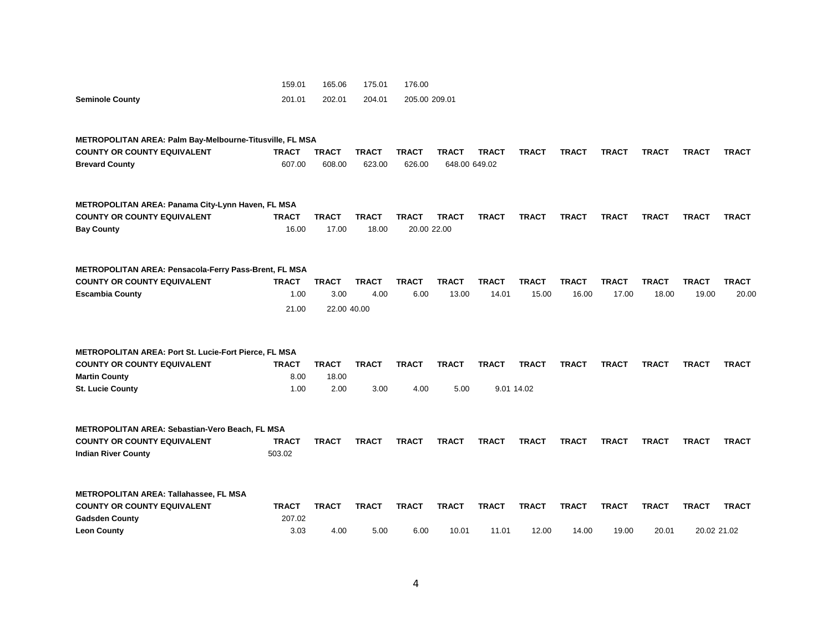|                                                              | 159.01       | 165.06       | 175.01       | 176.00        |               |              |              |              |              |              |              |              |
|--------------------------------------------------------------|--------------|--------------|--------------|---------------|---------------|--------------|--------------|--------------|--------------|--------------|--------------|--------------|
| <b>Seminole County</b>                                       | 201.01       | 202.01       | 204.01       | 205.00 209.01 |               |              |              |              |              |              |              |              |
| METROPOLITAN AREA: Palm Bay-Melbourne-Titusville, FL MSA     |              |              |              |               |               |              |              |              |              |              |              |              |
| <b>COUNTY OR COUNTY EQUIVALENT</b>                           | <b>TRACT</b> | <b>TRACT</b> | <b>TRACT</b> | <b>TRACT</b>  | <b>TRACT</b>  | <b>TRACT</b> | <b>TRACT</b> | <b>TRACT</b> | <b>TRACT</b> | <b>TRACT</b> | TRACT        | <b>TRACT</b> |
| <b>Brevard County</b>                                        | 607.00       | 608.00       | 623.00       | 626.00        | 648.00 649.02 |              |              |              |              |              |              |              |
| METROPOLITAN AREA: Panama City-Lynn Haven, FL MSA            |              |              |              |               |               |              |              |              |              |              |              |              |
| <b>COUNTY OR COUNTY EQUIVALENT</b>                           | <b>TRACT</b> | <b>TRACT</b> | <b>TRACT</b> | <b>TRACT</b>  | <b>TRACT</b>  | <b>TRACT</b> | <b>TRACT</b> | <b>TRACT</b> | <b>TRACT</b> | <b>TRACT</b> | <b>TRACT</b> | <b>TRACT</b> |
| <b>Bay County</b>                                            | 16.00        | 17.00        | 18.00        | 20.00 22.00   |               |              |              |              |              |              |              |              |
| METROPOLITAN AREA: Pensacola-Ferry Pass-Brent, FL MSA        |              |              |              |               |               |              |              |              |              |              |              |              |
| <b>COUNTY OR COUNTY EQUIVALENT</b>                           | <b>TRACT</b> | <b>TRACT</b> | <b>TRACT</b> | <b>TRACT</b>  | <b>TRACT</b>  | <b>TRACT</b> | <b>TRACT</b> | <b>TRACT</b> | <b>TRACT</b> | <b>TRACT</b> | <b>TRACT</b> | <b>TRACT</b> |
| <b>Escambia County</b>                                       | 1.00         | 3.00         | 4.00         | 6.00          | 13.00         | 14.01        | 15.00        | 16.00        | 17.00        | 18.00        | 19.00        | 20.00        |
|                                                              | 21.00        | 22.00 40.00  |              |               |               |              |              |              |              |              |              |              |
| <b>METROPOLITAN AREA: Port St. Lucie-Fort Pierce, FL MSA</b> |              |              |              |               |               |              |              |              |              |              |              |              |
| <b>COUNTY OR COUNTY EQUIVALENT</b>                           | <b>TRACT</b> | <b>TRACT</b> | <b>TRACT</b> | <b>TRACT</b>  | <b>TRACT</b>  | <b>TRACT</b> | <b>TRACT</b> | <b>TRACT</b> | <b>TRACT</b> | <b>TRACT</b> | <b>TRACT</b> | <b>TRACT</b> |
| <b>Martin County</b>                                         | 8.00         | 18.00        |              |               |               |              |              |              |              |              |              |              |
| <b>St. Lucie County</b>                                      | 1.00         | 2.00         | 3.00         | 4.00          | 5.00          |              | 9.01 14.02   |              |              |              |              |              |
| <b>METROPOLITAN AREA: Sebastian-Vero Beach, FL MSA</b>       |              |              |              |               |               |              |              |              |              |              |              |              |
| <b>COUNTY OR COUNTY EQUIVALENT</b>                           | <b>TRACT</b> | <b>TRACT</b> | <b>TRACT</b> | <b>TRACT</b>  | <b>TRACT</b>  | <b>TRACT</b> | <b>TRACT</b> | <b>TRACT</b> | <b>TRACT</b> | <b>TRACT</b> | <b>TRACT</b> | <b>TRACT</b> |
| <b>Indian River County</b>                                   | 503.02       |              |              |               |               |              |              |              |              |              |              |              |
|                                                              |              |              |              |               |               |              |              |              |              |              |              |              |
| <b>METROPOLITAN AREA: Tallahassee, FL MSA</b>                |              |              |              |               |               |              |              |              |              |              |              |              |
| <b>COUNTY OR COUNTY EQUIVALENT</b>                           | <b>TRACT</b> | <b>TRACT</b> | <b>TRACT</b> | <b>TRACT</b>  | <b>TRACT</b>  | <b>TRACT</b> | <b>TRACT</b> | <b>TRACT</b> | <b>TRACT</b> | <b>TRACT</b> | <b>TRACT</b> | <b>TRACT</b> |
| <b>Gadsden County</b>                                        | 207.02       |              |              |               |               |              |              |              |              |              |              |              |
| <b>Leon County</b>                                           | 3.03         | 4.00         | 5.00         | 6.00          | 10.01         | 11.01        | 12.00        | 14.00        | 19.00        | 20.01        | 20.02 21.02  |              |